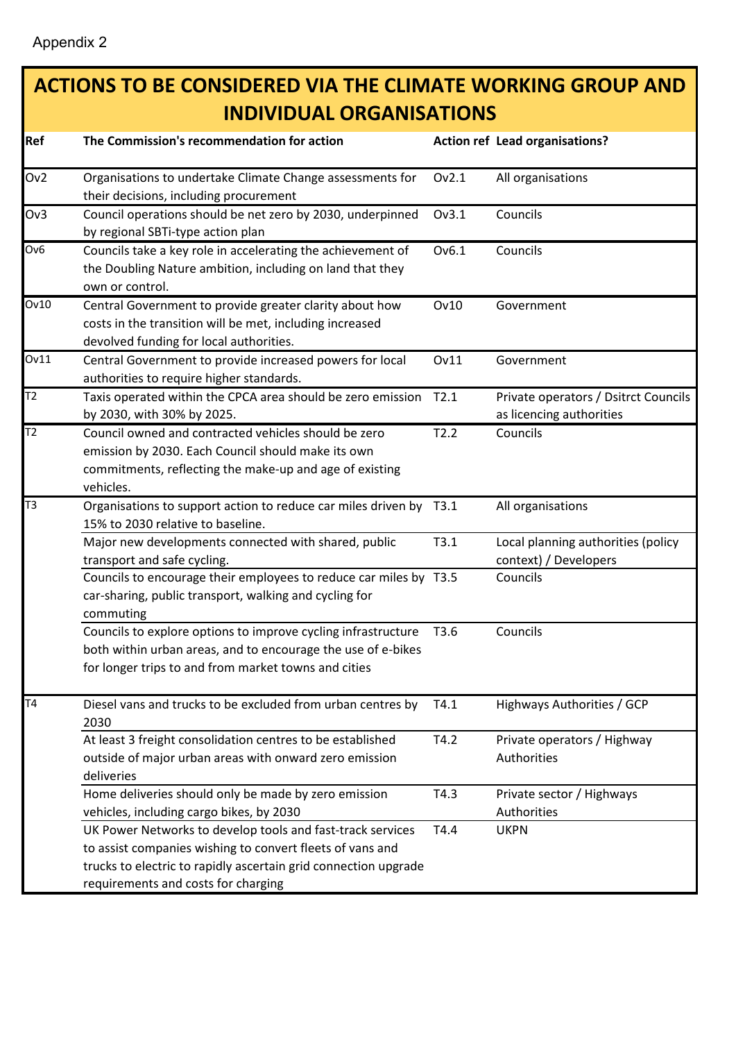## **ACTIONS TO BE CONSIDERED VIA THE CLIMATE WORKING GROUP AND INDIVIDUAL ORGANISATIONS**

| Ref             | The Commission's recommendation for action                                                                                                                                                                                        |       | Action ref Lead organisations?                                   |
|-----------------|-----------------------------------------------------------------------------------------------------------------------------------------------------------------------------------------------------------------------------------|-------|------------------------------------------------------------------|
| Ov2             | Organisations to undertake Climate Change assessments for<br>their decisions, including procurement                                                                                                                               | Ov2.1 | All organisations                                                |
| Ov3             | Council operations should be net zero by 2030, underpinned<br>by regional SBTi-type action plan                                                                                                                                   | Ov3.1 | Councils                                                         |
| Ov <sub>6</sub> | Councils take a key role in accelerating the achievement of<br>the Doubling Nature ambition, including on land that they<br>own or control.                                                                                       | Ov6.1 | Councils                                                         |
| Ov10            | Central Government to provide greater clarity about how<br>costs in the transition will be met, including increased<br>devolved funding for local authorities.                                                                    | Ov10  | Government                                                       |
| Ov11            | Central Government to provide increased powers for local<br>authorities to require higher standards.                                                                                                                              | Ov11  | Government                                                       |
| T2              | Taxis operated within the CPCA area should be zero emission<br>by 2030, with 30% by 2025.                                                                                                                                         | T2.1  | Private operators / Dsitrct Councils<br>as licencing authorities |
| T <sub>2</sub>  | Council owned and contracted vehicles should be zero<br>emission by 2030. Each Council should make its own<br>commitments, reflecting the make-up and age of existing<br>vehicles.                                                | T2.2  | Councils                                                         |
| T3              | Organisations to support action to reduce car miles driven by T3.1<br>15% to 2030 relative to baseline.                                                                                                                           |       | All organisations                                                |
|                 | Major new developments connected with shared, public<br>transport and safe cycling.                                                                                                                                               | T3.1  | Local planning authorities (policy<br>context) / Developers      |
|                 | Councils to encourage their employees to reduce car miles by T3.5<br>car-sharing, public transport, walking and cycling for<br>commuting                                                                                          |       | Councils                                                         |
|                 | Councils to explore options to improve cycling infrastructure<br>both within urban areas, and to encourage the use of e-bikes<br>for longer trips to and from market towns and cities                                             | T3.6  | Councils                                                         |
| T <sub>4</sub>  | Diesel vans and trucks to be excluded from urban centres by<br>2030                                                                                                                                                               | T4.1  | Highways Authorities / GCP                                       |
|                 | At least 3 freight consolidation centres to be established<br>outside of major urban areas with onward zero emission<br>deliveries                                                                                                | T4.2  | Private operators / Highway<br>Authorities                       |
|                 | Home deliveries should only be made by zero emission<br>vehicles, including cargo bikes, by 2030                                                                                                                                  | T4.3  | Private sector / Highways<br>Authorities                         |
|                 | UK Power Networks to develop tools and fast-track services<br>to assist companies wishing to convert fleets of vans and<br>trucks to electric to rapidly ascertain grid connection upgrade<br>requirements and costs for charging | T4.4  | <b>UKPN</b>                                                      |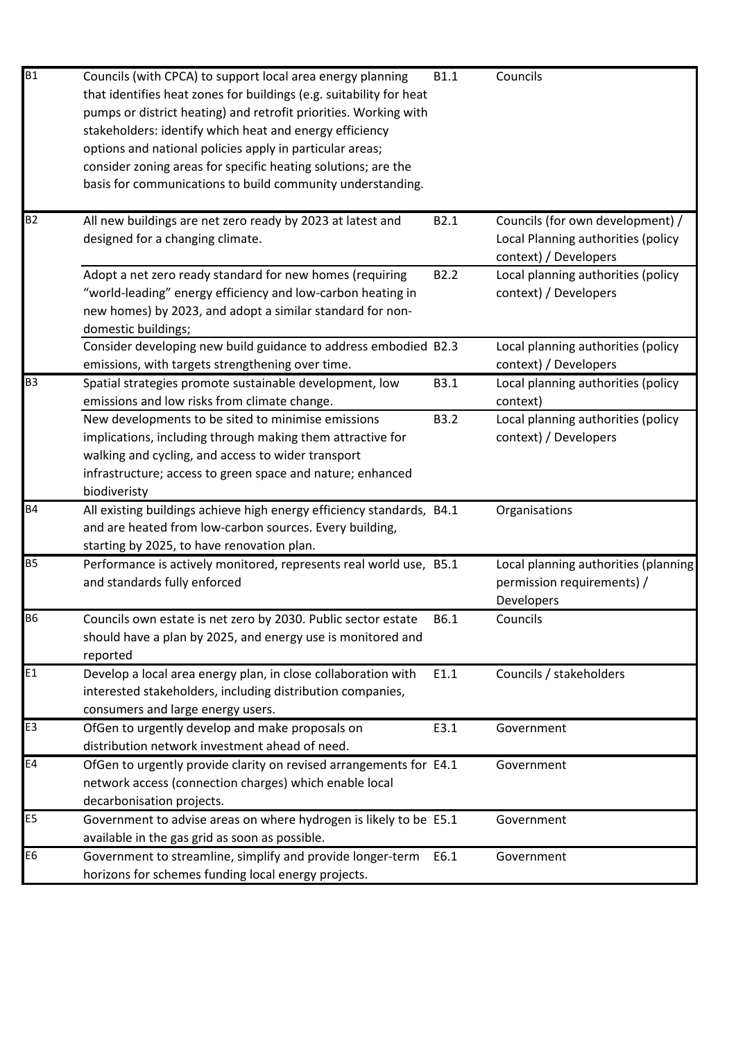| B1             | Councils (with CPCA) to support local area energy planning<br>that identifies heat zones for buildings (e.g. suitability for heat<br>pumps or district heating) and retrofit priorities. Working with<br>stakeholders: identify which heat and energy efficiency<br>options and national policies apply in particular areas;<br>consider zoning areas for specific heating solutions; are the<br>basis for communications to build community understanding. | B1.1             | Councils                                                                                        |
|----------------|-------------------------------------------------------------------------------------------------------------------------------------------------------------------------------------------------------------------------------------------------------------------------------------------------------------------------------------------------------------------------------------------------------------------------------------------------------------|------------------|-------------------------------------------------------------------------------------------------|
| B <sub>2</sub> | All new buildings are net zero ready by 2023 at latest and<br>designed for a changing climate.                                                                                                                                                                                                                                                                                                                                                              | B2.1             | Councils (for own development) /<br>Local Planning authorities (policy<br>context) / Developers |
|                | Adopt a net zero ready standard for new homes (requiring<br>"world-leading" energy efficiency and low-carbon heating in<br>new homes) by 2023, and adopt a similar standard for non-<br>domestic buildings;                                                                                                                                                                                                                                                 | B <sub>2.2</sub> | Local planning authorities (policy<br>context) / Developers                                     |
|                | Consider developing new build guidance to address embodied B2.3<br>emissions, with targets strengthening over time.                                                                                                                                                                                                                                                                                                                                         |                  | Local planning authorities (policy<br>context) / Developers                                     |
| B <sub>3</sub> | Spatial strategies promote sustainable development, low<br>emissions and low risks from climate change.                                                                                                                                                                                                                                                                                                                                                     | B3.1             | Local planning authorities (policy<br>context)                                                  |
|                | New developments to be sited to minimise emissions<br>implications, including through making them attractive for<br>walking and cycling, and access to wider transport<br>infrastructure; access to green space and nature; enhanced<br>biodiveristy                                                                                                                                                                                                        | <b>B3.2</b>      | Local planning authorities (policy<br>context) / Developers                                     |
| <b>B4</b>      | All existing buildings achieve high energy efficiency standards, B4.1<br>and are heated from low-carbon sources. Every building,<br>starting by 2025, to have renovation plan.                                                                                                                                                                                                                                                                              |                  | Organisations                                                                                   |
| <b>B5</b>      | Performance is actively monitored, represents real world use, B5.1<br>and standards fully enforced                                                                                                                                                                                                                                                                                                                                                          |                  | Local planning authorities (planning<br>permission requirements) /<br>Developers                |
| <b>B6</b>      | Councils own estate is net zero by 2030. Public sector estate<br>should have a plan by 2025, and energy use is monitored and<br>reported                                                                                                                                                                                                                                                                                                                    | B6.1             | Councils                                                                                        |
| E1             | Develop a local area energy plan, in close collaboration with<br>interested stakeholders, including distribution companies,<br>consumers and large energy users.                                                                                                                                                                                                                                                                                            | E1.1             | Councils / stakeholders                                                                         |
| E <sub>3</sub> | OfGen to urgently develop and make proposals on                                                                                                                                                                                                                                                                                                                                                                                                             | E3.1             | Government                                                                                      |
| E4             | distribution network investment ahead of need.<br>OfGen to urgently provide clarity on revised arrangements for E4.1<br>network access (connection charges) which enable local<br>decarbonisation projects.                                                                                                                                                                                                                                                 |                  | Government                                                                                      |
| E <sub>5</sub> | Government to advise areas on where hydrogen is likely to be E5.1<br>available in the gas grid as soon as possible.                                                                                                                                                                                                                                                                                                                                         |                  | Government                                                                                      |
| E <sub>6</sub> | Government to streamline, simplify and provide longer-term<br>horizons for schemes funding local energy projects.                                                                                                                                                                                                                                                                                                                                           | E6.1             | Government                                                                                      |